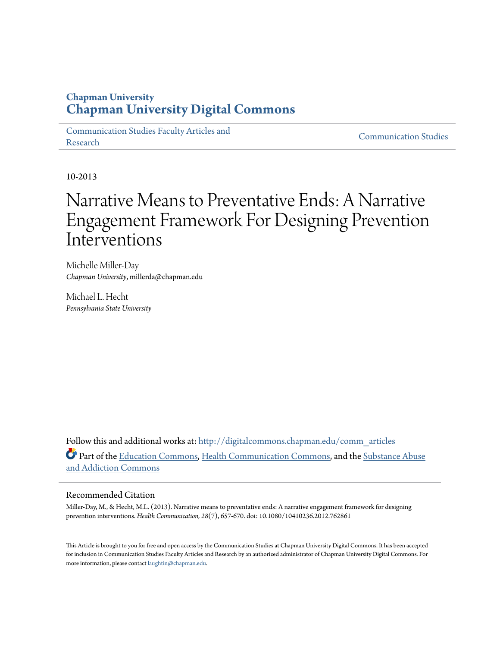# **Chapman University [Chapman University Digital Commons](http://digitalcommons.chapman.edu?utm_source=digitalcommons.chapman.edu%2Fcomm_articles%2F4&utm_medium=PDF&utm_campaign=PDFCoverPages)**

[Communication Studies Faculty Articles and](http://digitalcommons.chapman.edu/comm_articles?utm_source=digitalcommons.chapman.edu%2Fcomm_articles%2F4&utm_medium=PDF&utm_campaign=PDFCoverPages) [Research](http://digitalcommons.chapman.edu/comm_articles?utm_source=digitalcommons.chapman.edu%2Fcomm_articles%2F4&utm_medium=PDF&utm_campaign=PDFCoverPages) [Communication Studies](http://digitalcommons.chapman.edu/communication?utm_source=digitalcommons.chapman.edu%2Fcomm_articles%2F4&utm_medium=PDF&utm_campaign=PDFCoverPages)

10-2013

# Narrative Means to Preventative Ends: A Narrative Engagement Framework For Designing Prevention Interventions

Michelle Miller-Day *Chapman University*, millerda@chapman.edu

Michael L. Hecht *Pennsylvania State University*

Follow this and additional works at: [http://digitalcommons.chapman.edu/comm\\_articles](http://digitalcommons.chapman.edu/comm_articles?utm_source=digitalcommons.chapman.edu%2Fcomm_articles%2F4&utm_medium=PDF&utm_campaign=PDFCoverPages) Part of the [Education Commons](http://network.bepress.com/hgg/discipline/784?utm_source=digitalcommons.chapman.edu%2Fcomm_articles%2F4&utm_medium=PDF&utm_campaign=PDFCoverPages), [Health Communication Commons](http://network.bepress.com/hgg/discipline/330?utm_source=digitalcommons.chapman.edu%2Fcomm_articles%2F4&utm_medium=PDF&utm_campaign=PDFCoverPages), and the [Substance Abuse](http://network.bepress.com/hgg/discipline/710?utm_source=digitalcommons.chapman.edu%2Fcomm_articles%2F4&utm_medium=PDF&utm_campaign=PDFCoverPages) [and Addiction Commons](http://network.bepress.com/hgg/discipline/710?utm_source=digitalcommons.chapman.edu%2Fcomm_articles%2F4&utm_medium=PDF&utm_campaign=PDFCoverPages)

## Recommended Citation

Miller-Day, M., & Hecht, M.L. (2013). Narrative means to preventative ends: A narrative engagement framework for designing prevention interventions. *Health Communication, 28*(7), 657-670. doi: 10.1080/10410236.2012.762861

This Article is brought to you for free and open access by the Communication Studies at Chapman University Digital Commons. It has been accepted for inclusion in Communication Studies Faculty Articles and Research by an authorized administrator of Chapman University Digital Commons. For more information, please contact [laughtin@chapman.edu](mailto:laughtin@chapman.edu).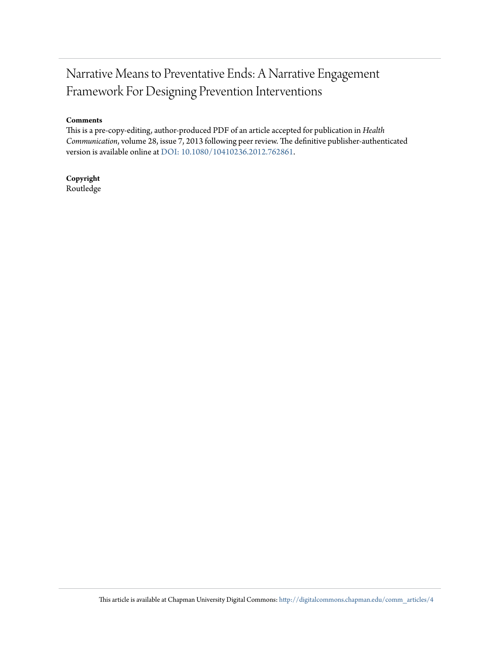# Narrative Means to Preventative Ends: A Narrative Engagement Framework For Designing Prevention Interventions

## **Comments**

This is a pre-copy-editing, author-produced PDF of an article accepted for publication in *Health Communication*, volume 28, issue 7, 2013 following peer review. The definitive publisher-authenticated version is available online at [DOI: 10.1080/10410236.2012.762861](http://dx.doi.org/10.1080/10410236.2012.762861).

**Copyright** Routledge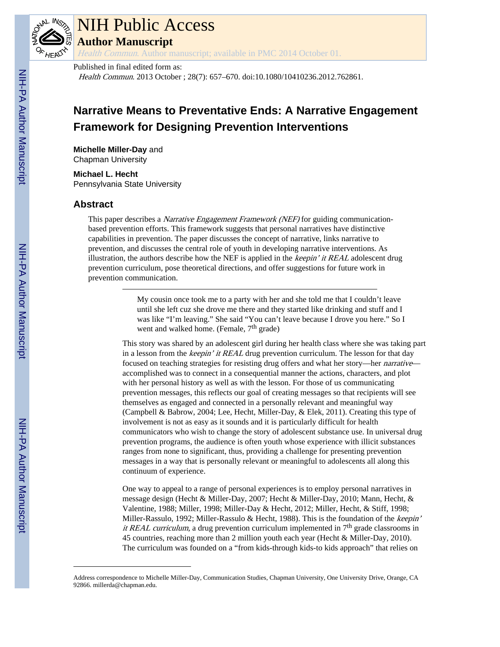

# NIH Public Access

**Author Manuscript**

Health Commun. Author manuscript; available in PMC 2014 October 01.

## Published in final edited form as:

Health Commun. 2013 October ; 28(7): 657–670. doi:10.1080/10410236.2012.762861.

# **Narrative Means to Preventative Ends: A Narrative Engagement Framework for Designing Prevention Interventions**

**Michelle Miller-Day** and Chapman University

**Michael L. Hecht** Pennsylvania State University

# **Abstract**

This paper describes a *Narrative Engagement Framework (NEF)* for guiding communicationbased prevention efforts. This framework suggests that personal narratives have distinctive capabilities in prevention. The paper discusses the concept of narrative, links narrative to prevention, and discusses the central role of youth in developing narrative interventions. As illustration, the authors describe how the NEF is applied in the *keepin' it REAL* adolescent drug prevention curriculum, pose theoretical directions, and offer suggestions for future work in prevention communication.

> My cousin once took me to a party with her and she told me that I couldn't leave until she left cuz she drove me there and they started like drinking and stuff and I was like "I'm leaving." She said "You can't leave because I drove you here." So I went and walked home. (Female, 7<sup>th</sup> grade)

This story was shared by an adolescent girl during her health class where she was taking part in a lesson from the *keepin' it REAL* drug prevention curriculum. The lesson for that day focused on teaching strategies for resisting drug offers and what her story—her narrative accomplished was to connect in a consequential manner the actions, characters, and plot with her personal history as well as with the lesson. For those of us communicating prevention messages, this reflects our goal of creating messages so that recipients will see themselves as engaged and connected in a personally relevant and meaningful way (Campbell & Babrow, 2004; Lee, Hecht, Miller-Day, & Elek, 2011). Creating this type of involvement is not as easy as it sounds and it is particularly difficult for health communicators who wish to change the story of adolescent substance use. In universal drug prevention programs, the audience is often youth whose experience with illicit substances ranges from none to significant, thus, providing a challenge for presenting prevention messages in a way that is personally relevant or meaningful to adolescents all along this continuum of experience.

One way to appeal to a range of personal experiences is to employ personal narratives in message design (Hecht & Miller-Day, 2007; Hecht & Miller-Day, 2010; Mann, Hecht, & Valentine, 1988; Miller, 1998; Miller-Day & Hecht, 2012; Miller, Hecht, & Stiff, 1998; Miller-Rassulo, 1992; Miller-Rassulo & Hecht, 1988). This is the foundation of the keepin' *it REAL curriculum*, a drug prevention curriculum implemented in  $7<sup>th</sup>$  grade classrooms in 45 countries, reaching more than 2 million youth each year (Hecht & Miller-Day, 2010). The curriculum was founded on a "from kids-through kids-to kids approach" that relies on

Address correspondence to Michelle Miller-Day, Communication Studies, Chapman University, One University Drive, Orange, CA 92866. millerda@chapman.edu.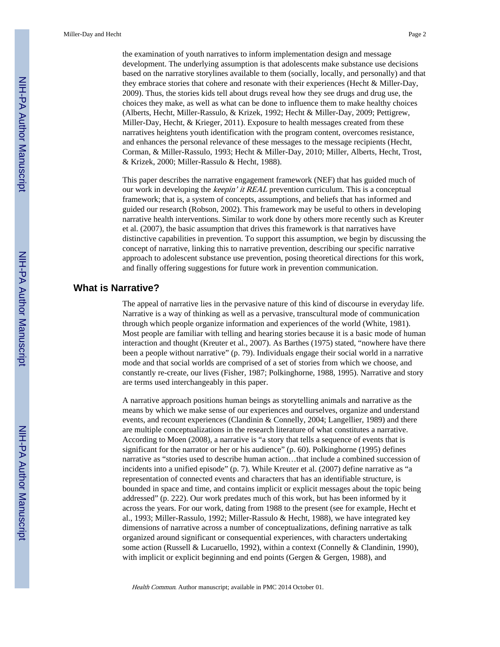the examination of youth narratives to inform implementation design and message development. The underlying assumption is that adolescents make substance use decisions based on the narrative storylines available to them (socially, locally, and personally) and that they embrace stories that cohere and resonate with their experiences (Hecht & Miller-Day, 2009). Thus, the stories kids tell about drugs reveal how they see drugs and drug use, the choices they make, as well as what can be done to influence them to make healthy choices (Alberts, Hecht, Miller-Rassulo, & Krizek, 1992; Hecht & Miller-Day, 2009; Pettigrew, Miller-Day, Hecht, & Krieger, 2011). Exposure to health messages created from these narratives heightens youth identification with the program content, overcomes resistance, and enhances the personal relevance of these messages to the message recipients (Hecht, Corman, & Miller-Rassulo, 1993; Hecht & Miller-Day, 2010; Miller, Alberts, Hecht, Trost, & Krizek, 2000; Miller-Rassulo & Hecht, 1988).

This paper describes the narrative engagement framework (NEF) that has guided much of our work in developing the *keepin' it REAL* prevention curriculum. This is a conceptual framework; that is, a system of concepts, assumptions, and beliefs that has informed and guided our research (Robson, 2002). This framework may be useful to others in developing narrative health interventions. Similar to work done by others more recently such as Kreuter et al. (2007), the basic assumption that drives this framework is that narratives have distinctive capabilities in prevention. To support this assumption, we begin by discussing the concept of narrative, linking this to narrative prevention, describing our specific narrative approach to adolescent substance use prevention, posing theoretical directions for this work, and finally offering suggestions for future work in prevention communication.

# **What is Narrative?**

The appeal of narrative lies in the pervasive nature of this kind of discourse in everyday life. Narrative is a way of thinking as well as a pervasive, transcultural mode of communication through which people organize information and experiences of the world (White, 1981). Most people are familiar with telling and hearing stories because it is a basic mode of human interaction and thought (Kreuter et al., 2007). As Barthes (1975) stated, "nowhere have there been a people without narrative" (p. 79). Individuals engage their social world in a narrative mode and that social worlds are comprised of a set of stories from which we choose, and constantly re-create, our lives (Fisher, 1987; Polkinghorne, 1988, 1995). Narrative and story are terms used interchangeably in this paper.

A narrative approach positions human beings as storytelling animals and narrative as the means by which we make sense of our experiences and ourselves, organize and understand events, and recount experiences (Clandinin & Connelly, 2004; Langellier, 1989) and there are multiple conceptualizations in the research literature of what constitutes a narrative. According to Moen (2008), a narrative is "a story that tells a sequence of events that is significant for the narrator or her or his audience" (p. 60). Polkinghorne (1995) defines narrative as "stories used to describe human action…that include a combined succession of incidents into a unified episode" (p. 7). While Kreuter et al. (2007) define narrative as "a representation of connected events and characters that has an identifiable structure, is bounded in space and time, and contains implicit or explicit messages about the topic being addressed" (p. 222). Our work predates much of this work, but has been informed by it across the years. For our work, dating from 1988 to the present (see for example, Hecht et al., 1993; Miller-Rassulo, 1992; Miller-Rassulo & Hecht, 1988), we have integrated key dimensions of narrative across a number of conceptualizations, defining narrative as talk organized around significant or consequential experiences, with characters undertaking some action (Russell & Lucaruello, 1992), within a context (Connelly & Clandinin, 1990), with implicit or explicit beginning and end points (Gergen & Gergen, 1988), and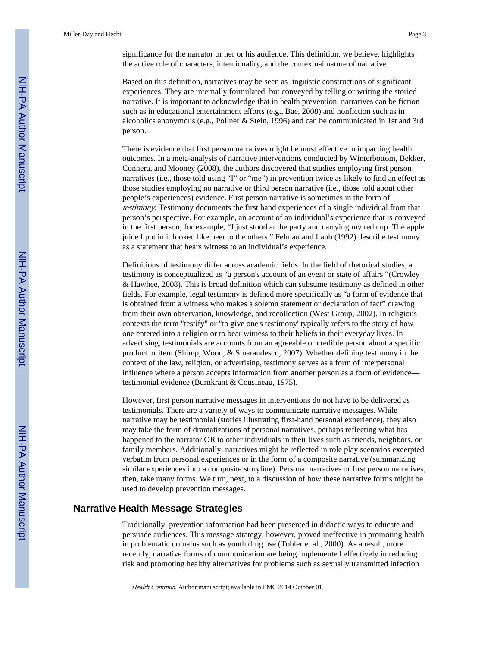significance for the narrator or her or his audience. This definition, we believe, highlights the active role of characters, intentionality, and the contextual nature of narrative.

Based on this definition, narratives may be seen as linguistic constructions of significant experiences. They are internally formulated, but conveyed by telling or writing the storied narrative. It is important to acknowledge that in health prevention, narratives can be fiction such as in educational entertainment efforts (e.g., Bae, 2008) and nonfiction such as in alcoholics anonymous (e.g., Pollner & Stein, 1996) and can be communicated in 1st and 3rd person.

There is evidence that first person narratives might be most effective in impacting health outcomes. In a meta-analysis of narrative interventions conducted by Winterbottom, Bekker, Connera, and Mooney (2008), the authors discovered that studies employing first person narratives (i.e., those told using "I" or "me") in prevention twice as likely to find an effect as those studies employing no narrative or third person narrative (i.e., those told about other people's experiences) evidence. First person narrative is sometimes in the form of testimony. Testimony documents the first hand experiences of a single individual from that person's perspective. For example, an account of an individual's experience that is conveyed in the first person; for example, "I just stood at the party and carrying my red cup. The apple juice I put in it looked like beer to the others." Felman and Laub (1992) describe testimony as a statement that bears witness to an individual's experience.

Definitions of testimony differ across academic fields. In the field of rhetorical studies, a testimony is conceptualized as "a person's account of an event or state of affairs "(Crowley & Hawhee, 2008). This is broad definition which can subsume testimony as defined in other fields. For example, legal testimony is defined more specifically as "a form of evidence that is obtained from a witness who makes a solemn statement or declaration of fact" drawing from their own observation, knowledge, and recollection (West Group, 2002). In religious contexts the term "testify" or "to give one's testimony' typically refers to the story of how one entered into a religion or to bear witness to their beliefs in their everyday lives. In advertising, testimonials are accounts from an agreeable or credible person about a specific product or item (Shimp, Wood, & Smarandescu, 2007). Whether defining testimony in the context of the law, religion, or advertising, testimony serves as a form of interpersonal influence where a person accepts information from another person as a form of evidence testimonial evidence (Burnkrant & Cousineau, 1975).

However, first person narrative messages in interventions do not have to be delivered as testimonials. There are a variety of ways to communicate narrative messages. While narrative may be testimonial (stories illustrating first-hand personal experience), they also may take the form of dramatizations of personal narratives, perhaps reflecting what has happened to the narrator OR to other individuals in their lives such as friends, neighbors, or family members. Additionally, narratives might be reflected in role play scenarios excerpted verbatim from personal experiences or in the form of a composite narrative (summarizing similar experiences into a composite storyline). Personal narratives or first person narratives, then, take many forms. We turn, next, to a discussion of how these narrative forms might be used to develop prevention messages.

## **Narrative Health Message Strategies**

Traditionally, prevention information had been presented in didactic ways to educate and persuade audiences. This message strategy, however, proved ineffective in promoting health in problematic domains such as youth drug use (Tobler et al., 2000). As a result, more recently, narrative forms of communication are being implemented effectively in reducing risk and promoting healthy alternatives for problems such as sexually transmitted infection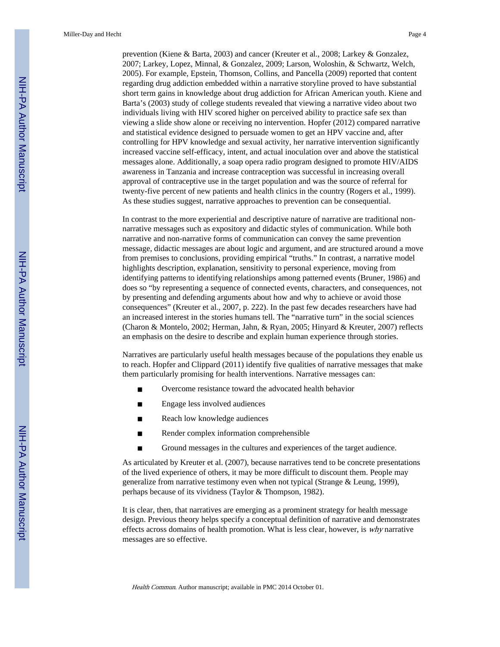prevention (Kiene & Barta, 2003) and cancer (Kreuter et al., 2008; Larkey & Gonzalez, 2007; Larkey, Lopez, Minnal, & Gonzalez, 2009; Larson, Woloshin, & Schwartz, Welch, 2005). For example, Epstein, Thomson, Collins, and Pancella (2009) reported that content regarding drug addiction embedded within a narrative storyline proved to have substantial short term gains in knowledge about drug addiction for African American youth. Kiene and Barta's (2003) study of college students revealed that viewing a narrative video about two individuals living with HIV scored higher on perceived ability to practice safe sex than viewing a slide show alone or receiving no intervention. Hopfer (2012) compared narrative and statistical evidence designed to persuade women to get an HPV vaccine and, after controlling for HPV knowledge and sexual activity, her narrative intervention significantly increased vaccine self-efficacy, intent, and actual inoculation over and above the statistical messages alone. Additionally, a soap opera radio program designed to promote HIV/AIDS awareness in Tanzania and increase contraception was successful in increasing overall approval of contraceptive use in the target population and was the source of referral for twenty-five percent of new patients and health clinics in the country (Rogers et al., 1999). As these studies suggest, narrative approaches to prevention can be consequential.

In contrast to the more experiential and descriptive nature of narrative are traditional nonnarrative messages such as expository and didactic styles of communication. While both narrative and non-narrative forms of communication can convey the same prevention message, didactic messages are about logic and argument, and are structured around a move from premises to conclusions, providing empirical "truths." In contrast, a narrative model highlights description, explanation, sensitivity to personal experience, moving from identifying patterns to identifying relationships among patterned events (Bruner, 1986) and does so "by representing a sequence of connected events, characters, and consequences, not by presenting and defending arguments about how and why to achieve or avoid those consequences" (Kreuter et al., 2007, p. 222). In the past few decades researchers have had an increased interest in the stories humans tell. The "narrative turn" in the social sciences (Charon & Montelo, 2002; Herman, Jahn, & Ryan, 2005; Hinyard & Kreuter, 2007) reflects an emphasis on the desire to describe and explain human experience through stories.

Narratives are particularly useful health messages because of the populations they enable us to reach. Hopfer and Clippard (2011) identify five qualities of narrative messages that make them particularly promising for health interventions. Narrative messages can:

Overcome resistance toward the advocated health behavior

Engage less involved audiences

Reach low knowledge audiences

Render complex information comprehensible

Ground messages in the cultures and experiences of the target audience.

As articulated by Kreuter et al. (2007), because narratives tend to be concrete presentations of the lived experience of others, it may be more difficult to discount them. People may generalize from narrative testimony even when not typical (Strange & Leung, 1999), perhaps because of its vividness (Taylor & Thompson, 1982).

It is clear, then, that narratives are emerging as a prominent strategy for health message design. Previous theory helps specify a conceptual definition of narrative and demonstrates effects across domains of health promotion. What is less clear, however, is why narrative messages are so effective.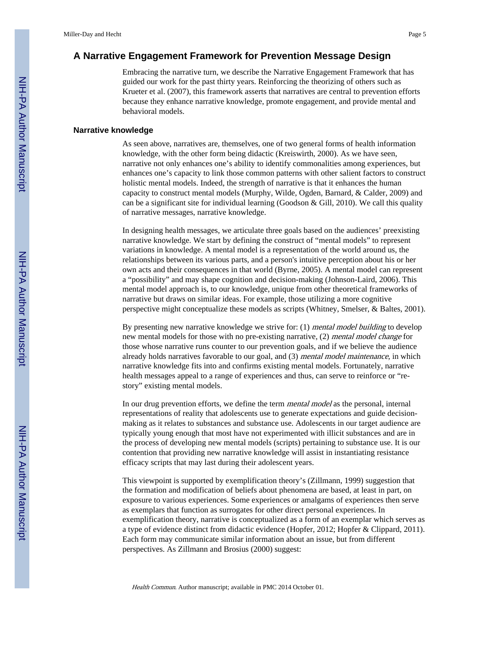## **A Narrative Engagement Framework for Prevention Message Design**

Embracing the narrative turn, we describe the Narrative Engagement Framework that has guided our work for the past thirty years. Reinforcing the theorizing of others such as Krueter et al. (2007), this framework asserts that narratives are central to prevention efforts because they enhance narrative knowledge, promote engagement, and provide mental and behavioral models.

#### **Narrative knowledge**

As seen above, narratives are, themselves, one of two general forms of health information knowledge, with the other form being didactic (Kreiswirth, 2000). As we have seen, narrative not only enhances one's ability to identify commonalities among experiences, but enhances one's capacity to link those common patterns with other salient factors to construct holistic mental models. Indeed, the strength of narrative is that it enhances the human capacity to construct mental models (Murphy, Wilde, Ogden, Barnard, & Calder, 2009) and can be a significant site for individual learning (Goodson & Gill, 2010). We call this quality of narrative messages, narrative knowledge.

In designing health messages, we articulate three goals based on the audiences' preexisting narrative knowledge. We start by defining the construct of "mental models" to represent variations in knowledge. A mental model is a representation of the world around us, the relationships between its various parts, and a person's intuitive perception about his or her own acts and their consequences in that world (Byrne, 2005). A mental model can represent a "possibility" and may shape cognition and decision-making (Johnson-Laird, 2006). This mental model approach is, to our knowledge, unique from other theoretical frameworks of narrative but draws on similar ideas. For example, those utilizing a more cognitive perspective might conceptualize these models as scripts (Whitney, Smelser, & Baltes, 2001).

By presenting new narrative knowledge we strive for: (1) mental model building to develop new mental models for those with no pre-existing narrative, (2) mental model change for those whose narrative runs counter to our prevention goals, and if we believe the audience already holds narratives favorable to our goal, and (3) mental model maintenance, in which narrative knowledge fits into and confirms existing mental models. Fortunately, narrative health messages appeal to a range of experiences and thus, can serve to reinforce or "restory" existing mental models.

In our drug prevention efforts, we define the term mental model as the personal, internal representations of reality that adolescents use to generate expectations and guide decisionmaking as it relates to substances and substance use. Adolescents in our target audience are typically young enough that most have not experimented with illicit substances and are in the process of developing new mental models (scripts) pertaining to substance use. It is our contention that providing new narrative knowledge will assist in instantiating resistance efficacy scripts that may last during their adolescent years.

This viewpoint is supported by exemplification theory's (Zillmann, 1999) suggestion that the formation and modification of beliefs about phenomena are based, at least in part, on exposure to various experiences. Some experiences or amalgams of experiences then serve as exemplars that function as surrogates for other direct personal experiences. In exemplification theory, narrative is conceptualized as a form of an exemplar which serves as a type of evidence distinct from didactic evidence (Hopfer, 2012; Hopfer & Clippard, 2011). Each form may communicate similar information about an issue, but from different perspectives. As Zillmann and Brosius (2000) suggest: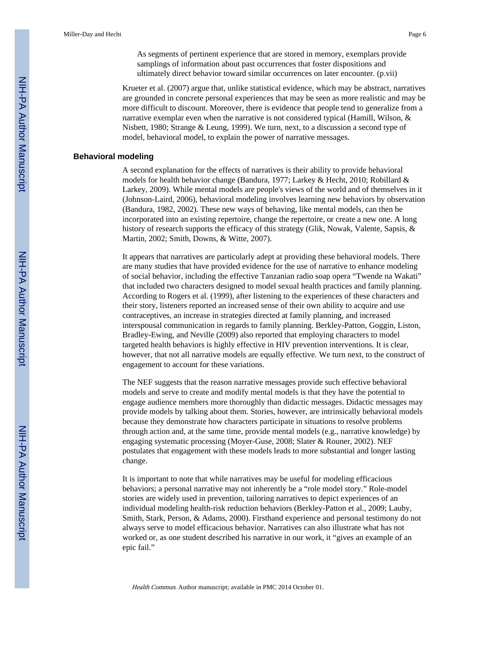As segments of pertinent experience that are stored in memory, exemplars provide samplings of information about past occurrences that foster dispositions and ultimately direct behavior toward similar occurrences on later encounter. (p.vii)

Krueter et al. (2007) argue that, unlike statistical evidence, which may be abstract, narratives are grounded in concrete personal experiences that may be seen as more realistic and may be more difficult to discount. Moreover, there is evidence that people tend to generalize from a narrative exemplar even when the narrative is not considered typical (Hamill, Wilson, & Nisbett, 1980; Strange & Leung, 1999). We turn, next, to a discussion a second type of model, behavioral model, to explain the power of narrative messages.

#### **Behavioral modeling**

A second explanation for the effects of narratives is their ability to provide behavioral models for health behavior change (Bandura, 1977; Larkey & Hecht, 2010; Robillard & Larkey, 2009). While mental models are people's views of the world and of themselves in it (Johnson-Laird, 2006), behavioral modeling involves learning new behaviors by observation (Bandura, 1982, 2002). These new ways of behaving, like mental models, can then be incorporated into an existing repertoire, change the repertoire, or create a new one. A long history of research supports the efficacy of this strategy (Glik, Nowak, Valente, Sapsis, & Martin, 2002; Smith, Downs, & Witte, 2007).

It appears that narratives are particularly adept at providing these behavioral models. There are many studies that have provided evidence for the use of narrative to enhance modeling of social behavior, including the effective Tanzanian radio soap opera "Twende na Wakati" that included two characters designed to model sexual health practices and family planning. According to Rogers et al. (1999), after listening to the experiences of these characters and their story, listeners reported an increased sense of their own ability to acquire and use contraceptives, an increase in strategies directed at family planning, and increased interspousal communication in regards to family planning. Berkley-Patton, Goggin, Liston, Bradley-Ewing, and Neville (2009) also reported that employing characters to model targeted health behaviors is highly effective in HIV prevention interventions. It is clear, however, that not all narrative models are equally effective. We turn next, to the construct of engagement to account for these variations.

The NEF suggests that the reason narrative messages provide such effective behavioral models and serve to create and modify mental models is that they have the potential to engage audience members more thoroughly than didactic messages. Didactic messages may provide models by talking about them. Stories, however, are intrinsically behavioral models because they demonstrate how characters participate in situations to resolve problems through action and, at the same time, provide mental models (e.g., narrative knowledge) by engaging systematic processing (Moyer-Guse, 2008; Slater & Rouner, 2002). NEF postulates that engagement with these models leads to more substantial and longer lasting change.

It is important to note that while narratives may be useful for modeling efficacious behaviors; a personal narrative may not inherently be a "role model story." Role-model stories are widely used in prevention, tailoring narratives to depict experiences of an individual modeling health-risk reduction behaviors (Berkley-Patton et al., 2009; Lauby, Smith, Stark, Person, & Adams, 2000). Firsthand experience and personal testimony do not always serve to model efficacious behavior. Narratives can also illustrate what has not worked or, as one student described his narrative in our work, it "gives an example of an epic fail."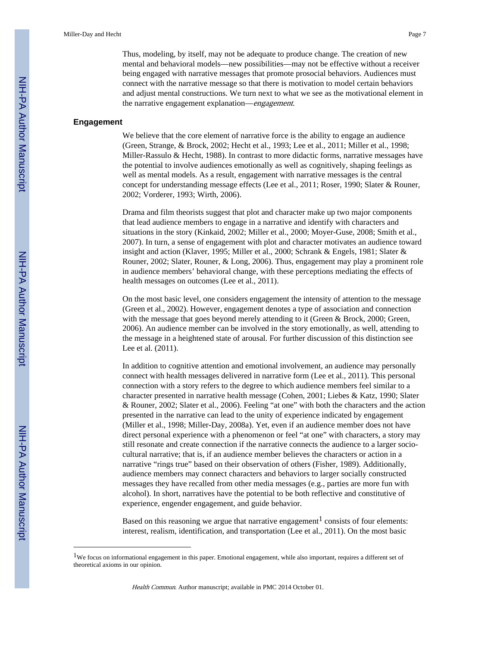Thus, modeling, by itself, may not be adequate to produce change. The creation of new mental and behavioral models—new possibilities—may not be effective without a receiver being engaged with narrative messages that promote prosocial behaviors. Audiences must connect with the narrative message so that there is motivation to model certain behaviors and adjust mental constructions. We turn next to what we see as the motivational element in the narrative engagement explanation—engagement.

#### **Engagement**

We believe that the core element of narrative force is the ability to engage an audience (Green, Strange, & Brock, 2002; Hecht et al., 1993; Lee et al., 2011; Miller et al., 1998; Miller-Rassulo & Hecht, 1988). In contrast to more didactic forms, narrative messages have the potential to involve audiences emotionally as well as cognitively, shaping feelings as well as mental models. As a result, engagement with narrative messages is the central concept for understanding message effects (Lee et al., 2011; Roser, 1990; Slater & Rouner, 2002; Vorderer, 1993; Wirth, 2006).

Drama and film theorists suggest that plot and character make up two major components that lead audience members to engage in a narrative and identify with characters and situations in the story (Kinkaid, 2002; Miller et al., 2000; Moyer-Guse, 2008; Smith et al., 2007). In turn, a sense of engagement with plot and character motivates an audience toward insight and action (Klaver, 1995; Miller et al., 2000; Schrank & Engels, 1981; Slater & Rouner, 2002; Slater, Rouner, & Long, 2006). Thus, engagement may play a prominent role in audience members' behavioral change, with these perceptions mediating the effects of health messages on outcomes (Lee et al., 2011).

On the most basic level, one considers engagement the intensity of attention to the message (Green et al., 2002). However, engagement denotes a type of association and connection with the message that goes beyond merely attending to it (Green & Brock, 2000; Green, 2006). An audience member can be involved in the story emotionally, as well, attending to the message in a heightened state of arousal. For further discussion of this distinction see Lee et al. (2011).

In addition to cognitive attention and emotional involvement, an audience may personally connect with health messages delivered in narrative form (Lee et al., 2011). This personal connection with a story refers to the degree to which audience members feel similar to a character presented in narrative health message (Cohen, 2001; Liebes & Katz, 1990; Slater & Rouner, 2002; Slater et al., 2006). Feeling "at one" with both the characters and the action presented in the narrative can lead to the unity of experience indicated by engagement (Miller et al., 1998; Miller-Day, 2008a). Yet, even if an audience member does not have direct personal experience with a phenomenon or feel "at one" with characters, a story may still resonate and create connection if the narrative connects the audience to a larger sociocultural narrative; that is, if an audience member believes the characters or action in a narrative "rings true" based on their observation of others (Fisher, 1989). Additionally, audience members may connect characters and behaviors to larger socially constructed messages they have recalled from other media messages (e.g., parties are more fun with alcohol). In short, narratives have the potential to be both reflective and constitutive of experience, engender engagement, and guide behavior.

Based on this reasoning we argue that narrative engagement<sup>1</sup> consists of four elements: interest, realism, identification, and transportation (Lee et al., 2011). On the most basic

<sup>&</sup>lt;sup>1</sup>We focus on informational engagement in this paper. Emotional engagement, while also important, requires a different set of theoretical axioms in our opinion.

Health Commun. Author manuscript; available in PMC 2014 October 01.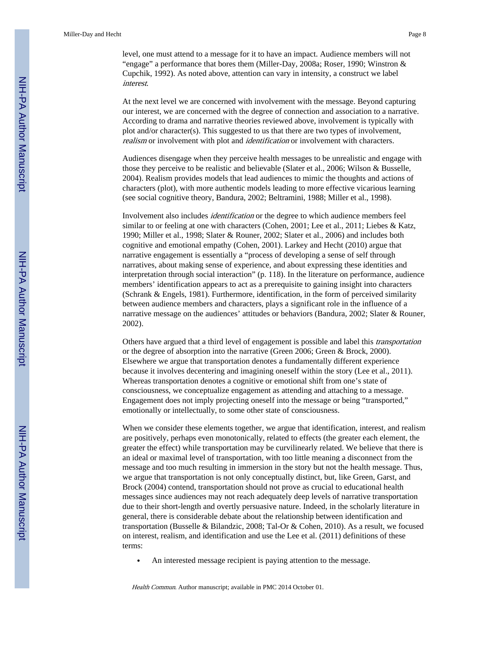level, one must attend to a message for it to have an impact. Audience members will not "engage" a performance that bores them (Miller-Day, 2008a; Roser, 1990; Winstron & Cupchik, 1992). As noted above, attention can vary in intensity, a construct we label interest.

At the next level we are concerned with involvement with the message. Beyond capturing our interest, we are concerned with the degree of connection and association to a narrative. According to drama and narrative theories reviewed above, involvement is typically with plot and/or character(s). This suggested to us that there are two types of involvement, realism or involvement with plot and *identification* or involvement with characters.

Audiences disengage when they perceive health messages to be unrealistic and engage with those they perceive to be realistic and believable (Slater et al., 2006; Wilson & Busselle, 2004). Realism provides models that lead audiences to mimic the thoughts and actions of characters (plot), with more authentic models leading to more effective vicarious learning (see social cognitive theory, Bandura, 2002; Beltramini, 1988; Miller et al., 1998).

Involvement also includes identification or the degree to which audience members feel similar to or feeling at one with characters (Cohen, 2001; Lee et al., 2011; Liebes & Katz, 1990; Miller et al., 1998; Slater & Rouner, 2002; Slater et al., 2006) and includes both cognitive and emotional empathy (Cohen, 2001). Larkey and Hecht (2010) argue that narrative engagement is essentially a "process of developing a sense of self through narratives, about making sense of experience, and about expressing these identities and interpretation through social interaction" (p. 118). In the literature on performance, audience members' identification appears to act as a prerequisite to gaining insight into characters (Schrank & Engels, 1981). Furthermore, identification, in the form of perceived similarity between audience members and characters, plays a significant role in the influence of a narrative message on the audiences' attitudes or behaviors (Bandura, 2002; Slater & Rouner, 2002).

Others have argued that a third level of engagement is possible and label this transportation or the degree of absorption into the narrative (Green 2006; Green & Brock, 2000). Elsewhere we argue that transportation denotes a fundamentally different experience because it involves decentering and imagining oneself within the story (Lee et al., 2011). Whereas transportation denotes a cognitive or emotional shift from one's state of consciousness, we conceptualize engagement as attending and attaching to a message. Engagement does not imply projecting oneself into the message or being "transported," emotionally or intellectually, to some other state of consciousness.

When we consider these elements together, we argue that identification, interest, and realism are positively, perhaps even monotonically, related to effects (the greater each element, the greater the effect) while transportation may be curvilinearly related. We believe that there is an ideal or maximal level of transportation, with too little meaning a disconnect from the message and too much resulting in immersion in the story but not the health message. Thus, we argue that transportation is not only conceptually distinct, but, like Green, Garst, and Brock (2004) contend, transportation should not prove as crucial to educational health messages since audiences may not reach adequately deep levels of narrative transportation due to their short-length and overtly persuasive nature. Indeed, in the scholarly literature in general, there is considerable debate about the relationship between identification and transportation (Busselle & Bilandzic, 2008; Tal-Or & Cohen, 2010). As a result, we focused on interest, realism, and identification and use the Lee et al. (2011) definitions of these terms:

**•** An interested message recipient is paying attention to the message.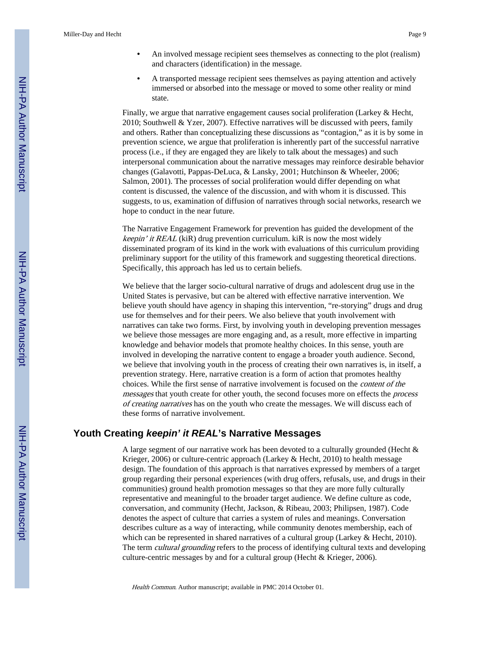- **•** An involved message recipient sees themselves as connecting to the plot (realism) and characters (identification) in the message.
- **•** A transported message recipient sees themselves as paying attention and actively immersed or absorbed into the message or moved to some other reality or mind state.

Finally, we argue that narrative engagement causes social proliferation (Larkey & Hecht, 2010; Southwell & Yzer, 2007). Effective narratives will be discussed with peers, family and others. Rather than conceptualizing these discussions as "contagion," as it is by some in prevention science, we argue that proliferation is inherently part of the successful narrative process (i.e., if they are engaged they are likely to talk about the messages) and such interpersonal communication about the narrative messages may reinforce desirable behavior changes (Galavotti, Pappas-DeLuca, & Lansky, 2001; Hutchinson & Wheeler, 2006; Salmon, 2001). The processes of social proliferation would differ depending on what content is discussed, the valence of the discussion, and with whom it is discussed. This suggests, to us, examination of diffusion of narratives through social networks, research we hope to conduct in the near future.

The Narrative Engagement Framework for prevention has guided the development of the keepin' it REAL (kiR) drug prevention curriculum. kiR is now the most widely disseminated program of its kind in the work with evaluations of this curriculum providing preliminary support for the utility of this framework and suggesting theoretical directions. Specifically, this approach has led us to certain beliefs.

We believe that the larger socio-cultural narrative of drugs and adolescent drug use in the United States is pervasive, but can be altered with effective narrative intervention. We believe youth should have agency in shaping this intervention, "re-storying" drugs and drug use for themselves and for their peers. We also believe that youth involvement with narratives can take two forms. First, by involving youth in developing prevention messages we believe those messages are more engaging and, as a result, more effective in imparting knowledge and behavior models that promote healthy choices. In this sense, youth are involved in developing the narrative content to engage a broader youth audience. Second, we believe that involving youth in the process of creating their own narratives is, in itself, a prevention strategy. Here, narrative creation is a form of action that promotes healthy choices. While the first sense of narrative involvement is focused on the content of the messages that youth create for other youth, the second focuses more on effects the *process* of creating narratives has on the youth who create the messages. We will discuss each of these forms of narrative involvement.

#### **Youth Creating** *keepin' it REAL***'s Narrative Messages**

A large segment of our narrative work has been devoted to a culturally grounded (Hecht & Krieger, 2006) or culture-centric approach (Larkey & Hecht, 2010) to health message design. The foundation of this approach is that narratives expressed by members of a target group regarding their personal experiences (with drug offers, refusals, use, and drugs in their communities) ground health promotion messages so that they are more fully culturally representative and meaningful to the broader target audience. We define culture as code, conversation, and community (Hecht, Jackson, & Ribeau, 2003; Philipsen, 1987). Code denotes the aspect of culture that carries a system of rules and meanings. Conversation describes culture as a way of interacting, while community denotes membership, each of which can be represented in shared narratives of a cultural group (Larkey & Hecht, 2010). The term *cultural grounding* refers to the process of identifying cultural texts and developing culture-centric messages by and for a cultural group (Hecht & Krieger, 2006).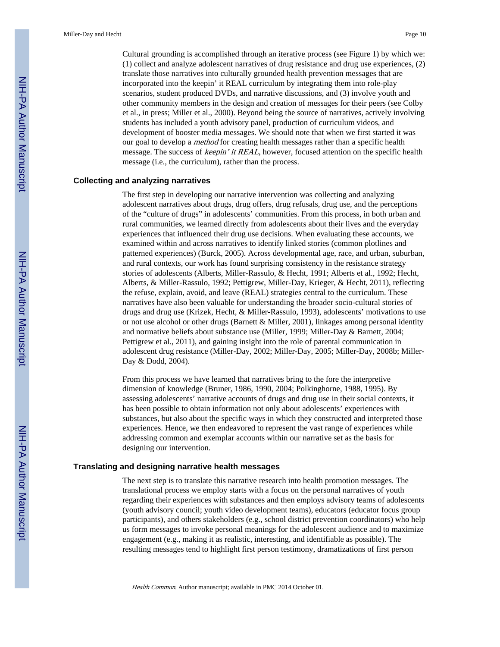Cultural grounding is accomplished through an iterative process (see Figure 1) by which we: (1) collect and analyze adolescent narratives of drug resistance and drug use experiences, (2) translate those narratives into culturally grounded health prevention messages that are incorporated into the keepin' it REAL curriculum by integrating them into role-play scenarios, student produced DVDs, and narrative discussions, and (3) involve youth and other community members in the design and creation of messages for their peers (see Colby et al., in press; Miller et al., 2000). Beyond being the source of narratives, actively involving students has included a youth advisory panel, production of curriculum videos, and development of booster media messages. We should note that when we first started it was our goal to develop a *method* for creating health messages rather than a specific health message. The success of keepin' it REAL, however, focused attention on the specific health message (i.e., the curriculum), rather than the process.

#### **Collecting and analyzing narratives**

The first step in developing our narrative intervention was collecting and analyzing adolescent narratives about drugs, drug offers, drug refusals, drug use, and the perceptions of the "culture of drugs" in adolescents' communities. From this process, in both urban and rural communities, we learned directly from adolescents about their lives and the everyday experiences that influenced their drug use decisions. When evaluating these accounts, we examined within and across narratives to identify linked stories (common plotlines and patterned experiences) (Burck, 2005). Across developmental age, race, and urban, suburban, and rural contexts, our work has found surprising consistency in the resistance strategy stories of adolescents (Alberts, Miller-Rassulo, & Hecht, 1991; Alberts et al., 1992; Hecht, Alberts, & Miller-Rassulo, 1992; Pettigrew, Miller-Day, Krieger, & Hecht, 2011), reflecting the refuse, explain, avoid, and leave (REAL) strategies central to the curriculum. These narratives have also been valuable for understanding the broader socio-cultural stories of drugs and drug use (Krizek, Hecht, & Miller-Rassulo, 1993), adolescents' motivations to use or not use alcohol or other drugs (Barnett & Miller, 2001), linkages among personal identity and normative beliefs about substance use (Miller, 1999; Miller-Day & Barnett, 2004; Pettigrew et al., 2011), and gaining insight into the role of parental communication in adolescent drug resistance (Miller-Day, 2002; Miller-Day, 2005; Miller-Day, 2008b; Miller-Day & Dodd, 2004).

From this process we have learned that narratives bring to the fore the interpretive dimension of knowledge (Bruner, 1986, 1990, 2004; Polkinghorne, 1988, 1995). By assessing adolescents' narrative accounts of drugs and drug use in their social contexts, it has been possible to obtain information not only about adolescents' experiences with substances, but also about the specific ways in which they constructed and interpreted those experiences. Hence, we then endeavored to represent the vast range of experiences while addressing common and exemplar accounts within our narrative set as the basis for designing our intervention.

#### **Translating and designing narrative health messages**

The next step is to translate this narrative research into health promotion messages. The translational process we employ starts with a focus on the personal narratives of youth regarding their experiences with substances and then employs advisory teams of adolescents (youth advisory council; youth video development teams), educators (educator focus group participants), and others stakeholders (e.g., school district prevention coordinators) who help us form messages to invoke personal meanings for the adolescent audience and to maximize engagement (e.g., making it as realistic, interesting, and identifiable as possible). The resulting messages tend to highlight first person testimony, dramatizations of first person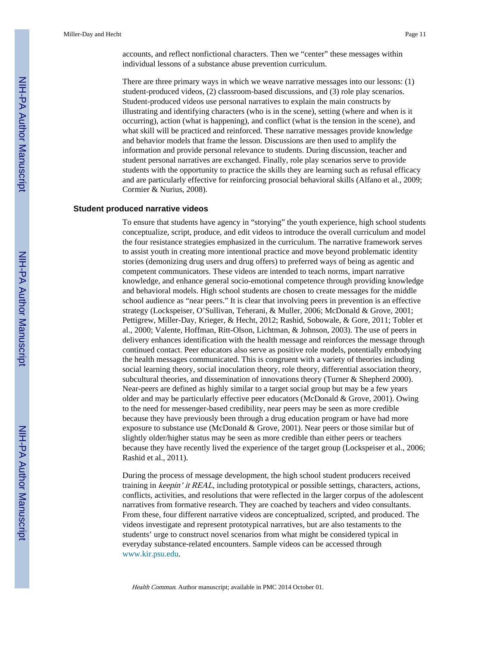accounts, and reflect nonfictional characters. Then we "center" these messages within individual lessons of a substance abuse prevention curriculum.

There are three primary ways in which we weave narrative messages into our lessons: (1) student-produced videos, (2) classroom-based discussions, and (3) role play scenarios. Student-produced videos use personal narratives to explain the main constructs by illustrating and identifying characters (who is in the scene), setting (where and when is it occurring), action (what is happening), and conflict (what is the tension in the scene), and what skill will be practiced and reinforced. These narrative messages provide knowledge and behavior models that frame the lesson. Discussions are then used to amplify the information and provide personal relevance to students. During discussion, teacher and student personal narratives are exchanged. Finally, role play scenarios serve to provide students with the opportunity to practice the skills they are learning such as refusal efficacy and are particularly effective for reinforcing prosocial behavioral skills (Alfano et al., 2009; Cormier & Nurius, 2008).

#### **Student produced narrative videos**

To ensure that students have agency in "storying" the youth experience, high school students conceptualize, script, produce, and edit videos to introduce the overall curriculum and model the four resistance strategies emphasized in the curriculum. The narrative framework serves to assist youth in creating more intentional practice and move beyond problematic identity stories (demonizing drug users and drug offers) to preferred ways of being as agentic and competent communicators. These videos are intended to teach norms, impart narrative knowledge, and enhance general socio-emotional competence through providing knowledge and behavioral models. High school students are chosen to create messages for the middle school audience as "near peers." It is clear that involving peers in prevention is an effective strategy (Lockspeiser, O'Sullivan, Teherani, & Muller, 2006; McDonald & Grove, 2001; Pettigrew, Miller-Day, Krieger, & Hecht, 2012; Rashid, Sobowale, & Gore, 2011; Tobler et al., 2000; Valente, Hoffman, Ritt-Olson, Lichtman, & Johnson, 2003). The use of peers in delivery enhances identification with the health message and reinforces the message through continued contact. Peer educators also serve as positive role models, potentially embodying the health messages communicated. This is congruent with a variety of theories including social learning theory, social inoculation theory, role theory, differential association theory, subcultural theories, and dissemination of innovations theory (Turner & Shepherd 2000). Near-peers are defined as highly similar to a target social group but may be a few years older and may be particularly effective peer educators (McDonald & Grove, 2001). Owing to the need for messenger-based credibility, near peers may be seen as more credible because they have previously been through a drug education program or have had more exposure to substance use (McDonald & Grove, 2001). Near peers or those similar but of slightly older/higher status may be seen as more credible than either peers or teachers because they have recently lived the experience of the target group (Lockspeiser et al., 2006; Rashid et al., 2011).

During the process of message development, the high school student producers received training in *keepin' it REAL*, including prototypical or possible settings, characters, actions, conflicts, activities, and resolutions that were reflected in the larger corpus of the adolescent narratives from formative research. They are coached by teachers and video consultants. From these, four different narrative videos are conceptualized, scripted, and produced. The videos investigate and represent prototypical narratives, but are also testaments to the students' urge to construct novel scenarios from what might be considered typical in everyday substance-related encounters. Sample videos can be accessed through [www.kir.psu.edu.](http://www.kir.psu.edu)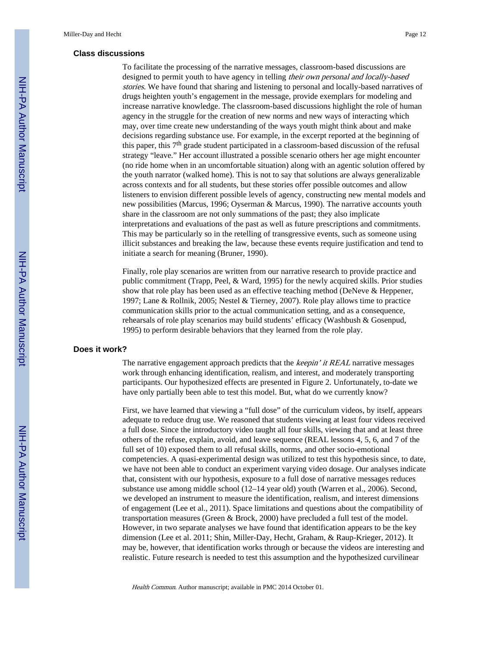#### **Class discussions**

To facilitate the processing of the narrative messages, classroom-based discussions are designed to permit youth to have agency in telling *their own personal and locally-based* stories. We have found that sharing and listening to personal and locally-based narratives of drugs heighten youth's engagement in the message, provide exemplars for modeling and increase narrative knowledge. The classroom-based discussions highlight the role of human agency in the struggle for the creation of new norms and new ways of interacting which may, over time create new understanding of the ways youth might think about and make decisions regarding substance use. For example, in the excerpt reported at the beginning of this paper, this 7<sup>th</sup> grade student participated in a classroom-based discussion of the refusal strategy "leave." Her account illustrated a possible scenario others her age might encounter (no ride home when in an uncomfortable situation) along with an agentic solution offered by the youth narrator (walked home). This is not to say that solutions are always generalizable across contexts and for all students, but these stories offer possible outcomes and allow listeners to envision different possible levels of agency, constructing new mental models and new possibilities (Marcus, 1996; Oyserman & Marcus, 1990). The narrative accounts youth share in the classroom are not only summations of the past; they also implicate interpretations and evaluations of the past as well as future prescriptions and commitments. This may be particularly so in the retelling of transgressive events, such as someone using illicit substances and breaking the law, because these events require justification and tend to initiate a search for meaning (Bruner, 1990).

Finally, role play scenarios are written from our narrative research to provide practice and public commitment (Trapp, Peel, & Ward, 1995) for the newly acquired skills. Prior studies show that role play has been used as an effective teaching method (DeNeve  $\&$  Heppener, 1997; Lane & Rollnik, 2005; Nestel & Tierney, 2007). Role play allows time to practice communication skills prior to the actual communication setting, and as a consequence, rehearsals of role play scenarios may build students' efficacy (Washbush & Gosenpud, 1995) to perform desirable behaviors that they learned from the role play.

#### **Does it work?**

The narrative engagement approach predicts that the keepin' it REAL narrative messages work through enhancing identification, realism, and interest, and moderately transporting participants. Our hypothesized effects are presented in Figure 2. Unfortunately, to-date we have only partially been able to test this model. But, what do we currently know?

First, we have learned that viewing a "full dose" of the curriculum videos, by itself, appears adequate to reduce drug use. We reasoned that students viewing at least four videos received a full dose. Since the introductory video taught all four skills, viewing that and at least three others of the refuse, explain, avoid, and leave sequence (REAL lessons 4, 5, 6, and 7 of the full set of 10) exposed them to all refusal skills, norms, and other socio-emotional competencies. A quasi-experimental design was utilized to test this hypothesis since, to date, we have not been able to conduct an experiment varying video dosage. Our analyses indicate that, consistent with our hypothesis, exposure to a full dose of narrative messages reduces substance use among middle school (12–14 year old) youth (Warren et al., 2006). Second, we developed an instrument to measure the identification, realism, and interest dimensions of engagement (Lee et al., 2011). Space limitations and questions about the compatibility of transportation measures (Green & Brock, 2000) have precluded a full test of the model. However, in two separate analyses we have found that identification appears to be the key dimension (Lee et al. 2011; Shin, Miller-Day, Hecht, Graham, & Raup-Krieger, 2012). It may be, however, that identification works through or because the videos are interesting and realistic. Future research is needed to test this assumption and the hypothesized curvilinear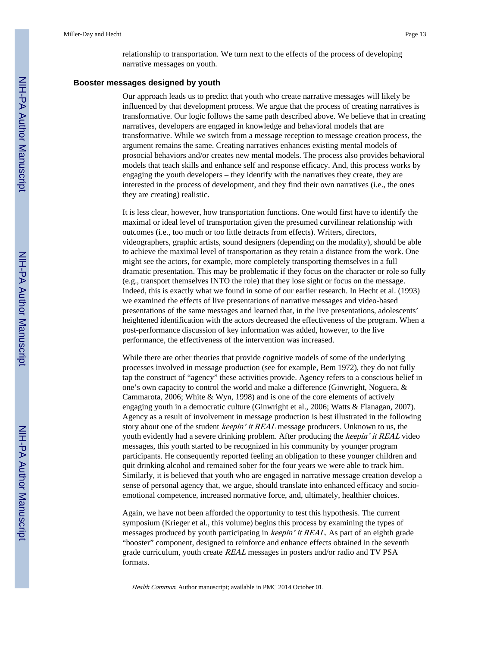relationship to transportation. We turn next to the effects of the process of developing narrative messages on youth.

### **Booster messages designed by youth**

Our approach leads us to predict that youth who create narrative messages will likely be influenced by that development process. We argue that the process of creating narratives is transformative. Our logic follows the same path described above. We believe that in creating narratives, developers are engaged in knowledge and behavioral models that are transformative. While we switch from a message reception to message creation process, the argument remains the same. Creating narratives enhances existing mental models of prosocial behaviors and/or creates new mental models. The process also provides behavioral models that teach skills and enhance self and response efficacy. And, this process works by engaging the youth developers – they identify with the narratives they create, they are interested in the process of development, and they find their own narratives (i.e., the ones they are creating) realistic.

It is less clear, however, how transportation functions. One would first have to identify the maximal or ideal level of transportation given the presumed curvilinear relationship with outcomes (i.e., too much or too little detracts from effects). Writers, directors, videographers, graphic artists, sound designers (depending on the modality), should be able to achieve the maximal level of transportation as they retain a distance from the work. One might see the actors, for example, more completely transporting themselves in a full dramatic presentation. This may be problematic if they focus on the character or role so fully (e.g., transport themselves INTO the role) that they lose sight or focus on the message. Indeed, this is exactly what we found in some of our earlier research. In Hecht et al. (1993) we examined the effects of live presentations of narrative messages and video-based presentations of the same messages and learned that, in the live presentations, adolescents' heightened identification with the actors decreased the effectiveness of the program. When a post-performance discussion of key information was added, however, to the live performance, the effectiveness of the intervention was increased.

While there are other theories that provide cognitive models of some of the underlying processes involved in message production (see for example, Bem 1972), they do not fully tap the construct of "agency" these activities provide. Agency refers to a conscious belief in one's own capacity to control the world and make a difference (Ginwright, Noguera, & Cammarota, 2006; White & Wyn, 1998) and is one of the core elements of actively engaging youth in a democratic culture (Ginwright et al., 2006; Watts & Flanagan, 2007). Agency as a result of involvement in message production is best illustrated in the following story about one of the student *keepin' it REAL* message producers. Unknown to us, the youth evidently had a severe drinking problem. After producing the *keepin' it REAL* video messages, this youth started to be recognized in his community by younger program participants. He consequently reported feeling an obligation to these younger children and quit drinking alcohol and remained sober for the four years we were able to track him. Similarly, it is believed that youth who are engaged in narrative message creation develop a sense of personal agency that, we argue, should translate into enhanced efficacy and socioemotional competence, increased normative force, and, ultimately, healthier choices.

Again, we have not been afforded the opportunity to test this hypothesis. The current symposium (Krieger et al., this volume) begins this process by examining the types of messages produced by youth participating in *keepin' it REAL*. As part of an eighth grade "booster" component, designed to reinforce and enhance effects obtained in the seventh grade curriculum, youth create REAL messages in posters and/or radio and TV PSA formats.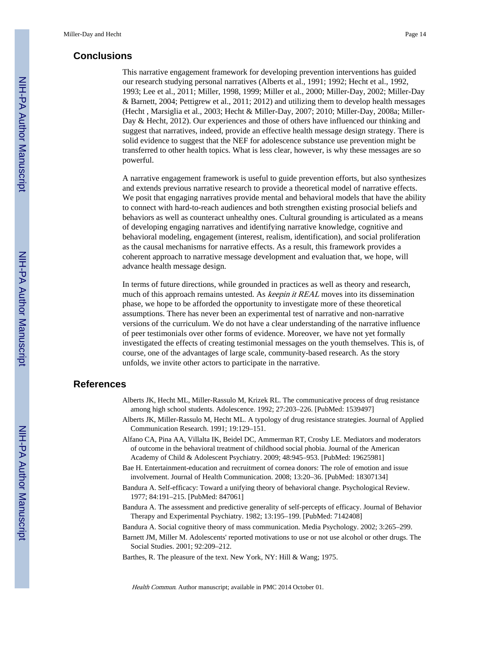# **Conclusions**

This narrative engagement framework for developing prevention interventions has guided our research studying personal narratives (Alberts et al., 1991; 1992; Hecht et al., 1992, 1993; Lee et al., 2011; Miller, 1998, 1999; Miller et al., 2000; Miller-Day, 2002; Miller-Day & Barnett, 2004; Pettigrew et al., 2011; 2012) and utilizing them to develop health messages (Hecht , Marsiglia et al., 2003; Hecht & Miller-Day, 2007; 2010; Miller-Day, 2008a; Miller-Day & Hecht, 2012). Our experiences and those of others have influenced our thinking and suggest that narratives, indeed, provide an effective health message design strategy. There is solid evidence to suggest that the NEF for adolescence substance use prevention might be transferred to other health topics. What is less clear, however, is why these messages are so powerful.

A narrative engagement framework is useful to guide prevention efforts, but also synthesizes and extends previous narrative research to provide a theoretical model of narrative effects. We posit that engaging narratives provide mental and behavioral models that have the ability to connect with hard-to-reach audiences and both strengthen existing prosocial beliefs and behaviors as well as counteract unhealthy ones. Cultural grounding is articulated as a means of developing engaging narratives and identifying narrative knowledge, cognitive and behavioral modeling, engagement (interest, realism, identification), and social proliferation as the causal mechanisms for narrative effects. As a result, this framework provides a coherent approach to narrative message development and evaluation that, we hope, will advance health message design.

In terms of future directions, while grounded in practices as well as theory and research, much of this approach remains untested. As *keepin it REAL* moves into its dissemination phase, we hope to be afforded the opportunity to investigate more of these theoretical assumptions. There has never been an experimental test of narrative and non-narrative versions of the curriculum. We do not have a clear understanding of the narrative influence of peer testimonials over other forms of evidence. Moreover, we have not yet formally investigated the effects of creating testimonial messages on the youth themselves. This is, of course, one of the advantages of large scale, community-based research. As the story unfolds, we invite other actors to participate in the narrative.

# **References**

- Alberts JK, Hecht ML, Miller-Rassulo M, Krizek RL. The communicative process of drug resistance among high school students. Adolescence. 1992; 27:203–226. [PubMed: 1539497]
- Alberts JK, Miller-Rassulo M, Hecht ML. A typology of drug resistance strategies. Journal of Applied Communication Research. 1991; 19:129–151.
- Alfano CA, Pina AA, Villalta IK, Beidel DC, Ammerman RT, Crosby LE. Mediators and moderators of outcome in the behavioral treatment of childhood social phobia. Journal of the American Academy of Child & Adolescent Psychiatry. 2009; 48:945–953. [PubMed: 19625981]
- Bae H. Entertainment-education and recruitment of cornea donors: The role of emotion and issue involvement. Journal of Health Communication. 2008; 13:20–36. [PubMed: 18307134]
- Bandura A. Self-efficacy: Toward a unifying theory of behavioral change. Psychological Review. 1977; 84:191–215. [PubMed: 847061]
- Bandura A. The assessment and predictive generality of self-percepts of efficacy. Journal of Behavior Therapy and Experimental Psychiatry. 1982; 13:195–199. [PubMed: 7142408]
- Bandura A. Social cognitive theory of mass communication. Media Psychology. 2002; 3:265–299.
- Barnett JM, Miller M. Adolescents' reported motivations to use or not use alcohol or other drugs. The Social Studies. 2001; 92:209–212.
- Barthes, R. The pleasure of the text. New York, NY: Hill & Wang; 1975.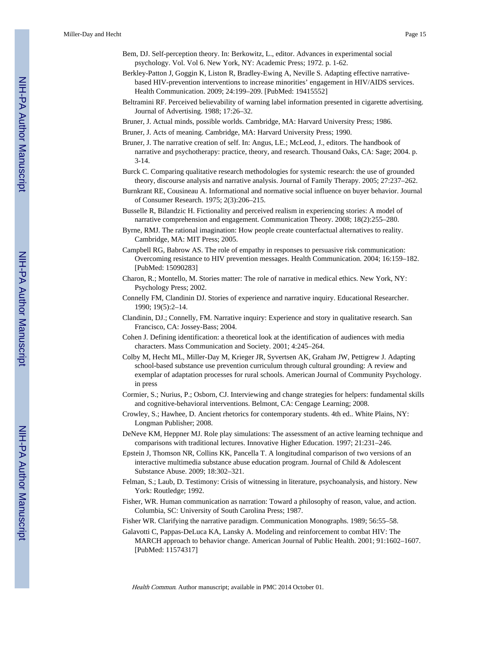- Bem, DJ. Self-perception theory. In: Berkowitz, L., editor. Advances in experimental social psychology. Vol. Vol 6. New York, NY: Academic Press; 1972. p. 1-62.
- Berkley-Patton J, Goggin K, Liston R, Bradley-Ewing A, Neville S. Adapting effective narrativebased HIV-prevention interventions to increase minorities' engagement in HIV/AIDS services. Health Communication. 2009; 24:199–209. [PubMed: 19415552]
- Beltramini RF. Perceived believability of warning label information presented in cigarette advertising. Journal of Advertising. 1988; 17:26–32.
- Bruner, J. Actual minds, possible worlds. Cambridge, MA: Harvard University Press; 1986.
- Bruner, J. Acts of meaning. Cambridge, MA: Harvard University Press; 1990.
- Bruner, J. The narrative creation of self. In: Angus, LE.; McLeod, J., editors. The handbook of narrative and psychotherapy: practice, theory, and research. Thousand Oaks, CA: Sage; 2004. p. 3-14.
- Burck C. Comparing qualitative research methodologies for systemic research: the use of grounded theory, discourse analysis and narrative analysis. Journal of Family Therapy. 2005; 27:237–262.
- Burnkrant RE, Cousineau A. Informational and normative social influence on buyer behavior. Journal of Consumer Research. 1975; 2(3):206–215.
- Busselle R, Bilandzic H. Fictionality and perceived realism in experiencing stories: A model of narrative comprehension and engagement. Communication Theory. 2008; 18(2):255–280.

Byrne, RMJ. The rational imagination: How people create counterfactual alternatives to reality. Cambridge, MA: MIT Press; 2005.

- Campbell RG, Babrow AS. The role of empathy in responses to persuasive risk communication: Overcoming resistance to HIV prevention messages. Health Communication. 2004; 16:159–182. [PubMed: 15090283]
- Charon, R.; Montello, M. Stories matter: The role of narrative in medical ethics. New York, NY: Psychology Press; 2002.
- Connelly FM, Clandinin DJ. Stories of experience and narrative inquiry. Educational Researcher. 1990; 19(5):2–14.
- Clandinin, DJ.; Connelly, FM. Narrative inquiry: Experience and story in qualitative research. San Francisco, CA: Jossey-Bass; 2004.
- Cohen J. Defining identification: a theoretical look at the identification of audiences with media characters. Mass Communication and Society. 2001; 4:245–264.
- Colby M, Hecht ML, Miller-Day M, Krieger JR, Syvertsen AK, Graham JW, Pettigrew J. Adapting school-based substance use prevention curriculum through cultural grounding: A review and exemplar of adaptation processes for rural schools. American Journal of Community Psychology. in press
- Cormier, S.; Nurius, P.; Osborn, CJ. Interviewing and change strategies for helpers: fundamental skills and cognitive-behavioral interventions. Belmont, CA: Cengage Learning; 2008.
- Crowley, S.; Hawhee, D. Ancient rhetorics for contemporary students. 4th ed.. White Plains, NY: Longman Publisher; 2008.
- DeNeve KM, Heppner MJ. Role play simulations: The assessment of an active learning technique and comparisons with traditional lectures. Innovative Higher Education. 1997; 21:231–246.
- Epstein J, Thomson NR, Collins KK, Pancella T. A longitudinal comparison of two versions of an interactive multimedia substance abuse education program. Journal of Child & Adolescent Substance Abuse. 2009; 18:302–321.
- Felman, S.; Laub, D. Testimony: Crisis of witnessing in literature, psychoanalysis, and history. New York: Routledge; 1992.
- Fisher, WR. Human communication as narration: Toward a philosophy of reason, value, and action. Columbia, SC: University of South Carolina Press; 1987.
- Fisher WR. Clarifying the narrative paradigm. Communication Monographs. 1989; 56:55–58.
- Galavotti C, Pappas-DeLuca KA, Lansky A. Modeling and reinforcement to combat HIV: The MARCH approach to behavior change. American Journal of Public Health. 2001; 91:1602–1607. [PubMed: 11574317]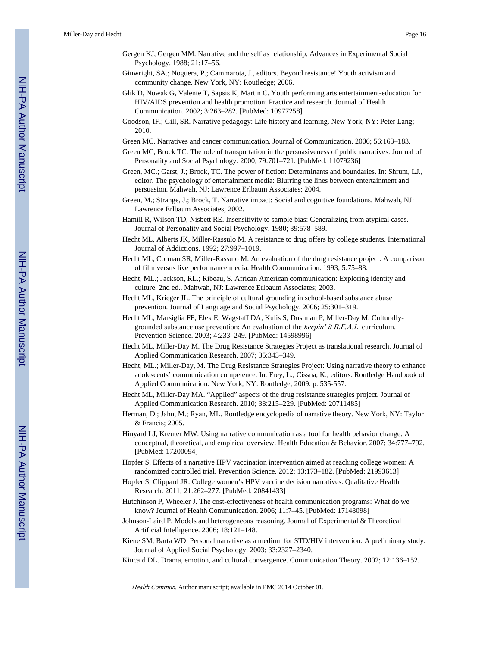- Gergen KJ, Gergen MM. Narrative and the self as relationship. Advances in Experimental Social Psychology. 1988; 21:17–56.
- Ginwright, SA.; Noguera, P.; Cammarota, J., editors. Beyond resistance! Youth activism and community change. New York, NY: Routledge; 2006.
- Glik D, Nowak G, Valente T, Sapsis K, Martin C. Youth performing arts entertainment-education for HIV/AIDS prevention and health promotion: Practice and research. Journal of Health Communication. 2002; 3:263–282. [PubMed: 10977258]
- Goodson, IF.; Gill, SR. Narrative pedagogy: Life history and learning. New York, NY: Peter Lang; 2010.
- Green MC. Narratives and cancer communication. Journal of Communication. 2006; 56:163–183.
- Green MC, Brock TC. The role of transportation in the persuasiveness of public narratives. Journal of Personality and Social Psychology. 2000; 79:701–721. [PubMed: 11079236]
- Green, MC.; Garst, J.; Brock, TC. The power of fiction: Determinants and boundaries. In: Shrum, LJ., editor. The psychology of entertainment media: Blurring the lines between entertainment and persuasion. Mahwah, NJ: Lawrence Erlbaum Associates; 2004.
- Green, M.; Strange, J.; Brock, T. Narrative impact: Social and cognitive foundations. Mahwah, NJ: Lawrence Erlbaum Associates; 2002.
- Hamill R, Wilson TD, Nisbett RE. Insensitivity to sample bias: Generalizing from atypical cases. Journal of Personality and Social Psychology. 1980; 39:578–589.
- Hecht ML, Alberts JK, Miller-Rassulo M. A resistance to drug offers by college students. International Journal of Addictions. 1992; 27:997–1019.
- Hecht ML, Corman SR, Miller-Rassulo M. An evaluation of the drug resistance project: A comparison of film versus live performance media. Health Communication. 1993; 5:75–88.
- Hecht, ML.; Jackson, RL.; Ribeau, S. African American communication: Exploring identity and culture. 2nd ed.. Mahwah, NJ: Lawrence Erlbaum Associates; 2003.
- Hecht ML, Krieger JL. The principle of cultural grounding in school-based substance abuse prevention. Journal of Language and Social Psychology. 2006; 25:301–319.
- Hecht ML, Marsiglia FF, Elek E, Wagstaff DA, Kulis S, Dustman P, Miller-Day M. Culturallygrounded substance use prevention: An evaluation of the keepin' it R.E.A.L. curriculum. Prevention Science. 2003; 4:233–249. [PubMed: 14598996]
- Hecht ML, Miller-Day M. The Drug Resistance Strategies Project as translational research. Journal of Applied Communication Research. 2007; 35:343–349.
- Hecht, ML.; Miller-Day, M. The Drug Resistance Strategies Project: Using narrative theory to enhance adolescents' communication competence. In: Frey, L.; Cissna, K., editors. Routledge Handbook of Applied Communication. New York, NY: Routledge; 2009. p. 535-557.
- Hecht ML, Miller-Day MA. "Applied" aspects of the drug resistance strategies project. Journal of Applied Communication Research. 2010; 38:215–229. [PubMed: 20711485]
- Herman, D.; Jahn, M.; Ryan, ML. Routledge encyclopedia of narrative theory. New York, NY: Taylor & Francis; 2005.
- Hinyard LJ, Kreuter MW. Using narrative communication as a tool for health behavior change: A conceptual, theoretical, and empirical overview. Health Education & Behavior. 2007; 34:777–792. [PubMed: 17200094]
- Hopfer S. Effects of a narrative HPV vaccination intervention aimed at reaching college women: A randomized controlled trial. Prevention Science. 2012; 13:173–182. [PubMed: 21993613]
- Hopfer S, Clippard JR. College women's HPV vaccine decision narratives. Qualitative Health Research. 2011; 21:262–277. [PubMed: 20841433]
- Hutchinson P, Wheeler J. The cost-effectiveness of health communication programs: What do we know? Journal of Health Communication. 2006; 11:7–45. [PubMed: 17148098]
- Johnson-Laird P. Models and heterogeneous reasoning. Journal of Experimental & Theoretical Artificial Intelligence. 2006; 18:121–148.
- Kiene SM, Barta WD. Personal narrative as a medium for STD/HIV intervention: A preliminary study. Journal of Applied Social Psychology. 2003; 33:2327–2340.
- Kincaid DL. Drama, emotion, and cultural convergence. Communication Theory. 2002; 12:136–152.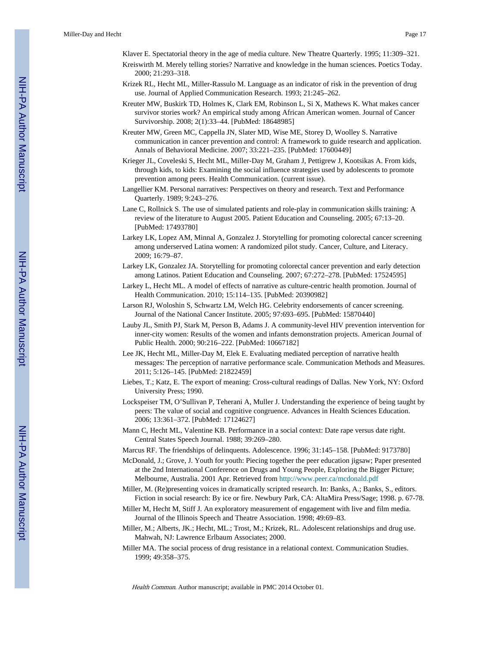Klaver E. Spectatorial theory in the age of media culture. New Theatre Quarterly. 1995; 11:309–321.

- Kreiswirth M. Merely telling stories? Narrative and knowledge in the human sciences. Poetics Today. 2000; 21:293–318.
- Krizek RL, Hecht ML, Miller-Rassulo M. Language as an indicator of risk in the prevention of drug use. Journal of Applied Communication Research. 1993; 21:245–262.
- Kreuter MW, Buskirk TD, Holmes K, Clark EM, Robinson L, Si X, Mathews K. What makes cancer survivor stories work? An empirical study among African American women. Journal of Cancer Survivorship. 2008; 2(1):33–44. [PubMed: 18648985]
- Kreuter MW, Green MC, Cappella JN, Slater MD, Wise ME, Storey D, Woolley S. Narrative communication in cancer prevention and control: A framework to guide research and application. Annals of Behavioral Medicine. 2007; 33:221–235. [PubMed: 17600449]
- Krieger JL, Coveleski S, Hecht ML, Miller-Day M, Graham J, Pettigrew J, Kootsikas A. From kids, through kids, to kids: Examining the social influence strategies used by adolescents to promote prevention among peers. Health Communication. (current issue).
- Langellier KM. Personal narratives: Perspectives on theory and research. Text and Performance Quarterly. 1989; 9:243–276.
- Lane C, Rollnick S. The use of simulated patients and role-play in communication skills training: A review of the literature to August 2005. Patient Education and Counseling. 2005; 67:13–20. [PubMed: 17493780]
- Larkey LK, Lopez AM, Minnal A, Gonzalez J. Storytelling for promoting colorectal cancer screening among underserved Latina women: A randomized pilot study. Cancer, Culture, and Literacy. 2009; 16:79–87.
- Larkey LK, Gonzalez JA. Storytelling for promoting colorectal cancer prevention and early detection among Latinos. Patient Education and Counseling. 2007; 67:272–278. [PubMed: 17524595]
- Larkey L, Hecht ML. A model of effects of narrative as culture-centric health promotion. Journal of Health Communication. 2010; 15:114–135. [PubMed: 20390982]
- Larson RJ, Woloshin S, Schwartz LM, Welch HG. Celebrity endorsements of cancer screening. Journal of the National Cancer Institute. 2005; 97:693–695. [PubMed: 15870440]
- Lauby JL, Smith PJ, Stark M, Person B, Adams J. A community-level HIV prevention intervention for inner-city women: Results of the women and infants demonstration projects. American Journal of Public Health. 2000; 90:216–222. [PubMed: 10667182]
- Lee JK, Hecht ML, Miller-Day M, Elek E. Evaluating mediated perception of narrative health messages: The perception of narrative performance scale. Communication Methods and Measures. 2011; 5:126–145. [PubMed: 21822459]
- Liebes, T.; Katz, E. The export of meaning: Cross-cultural readings of Dallas. New York, NY: Oxford University Press; 1990.
- Lockspeiser TM, O'Sullivan P, Teherani A, Muller J. Understanding the experience of being taught by peers: The value of social and cognitive congruence. Advances in Health Sciences Education. 2006; 13:361–372. [PubMed: 17124627]
- Mann C, Hecht ML, Valentine KB. Performance in a social context: Date rape versus date right. Central States Speech Journal. 1988; 39:269–280.
- Marcus RF. The friendships of delinquents. Adolescence. 1996; 31:145–158. [PubMed: 9173780]
- McDonald, J.; Grove, J. Youth for youth: Piecing together the peer education jigsaw; Paper presented at the 2nd International Conference on Drugs and Young People, Exploring the Bigger Picture; Melbourne, Australia. 2001 Apr. Retrieved from<http://www.peer.ca/mcdonald.pdf>
- Miller, M. (Re)presenting voices in dramatically scripted research. In: Banks, A.; Banks, S., editors. Fiction in social research: By ice or fire. Newbury Park, CA: AltaMira Press/Sage; 1998. p. 67-78.
- Miller M, Hecht M, Stiff J. An exploratory measurement of engagement with live and film media. Journal of the Illinois Speech and Theatre Association. 1998; 49:69–83.
- Miller, M.; Alberts, JK.; Hecht, ML.; Trost, M.; Krizek, RL. Adolescent relationships and drug use. Mahwah, NJ: Lawrence Erlbaum Associates; 2000.
- Miller MA. The social process of drug resistance in a relational context. Communication Studies. 1999; 49:358–375.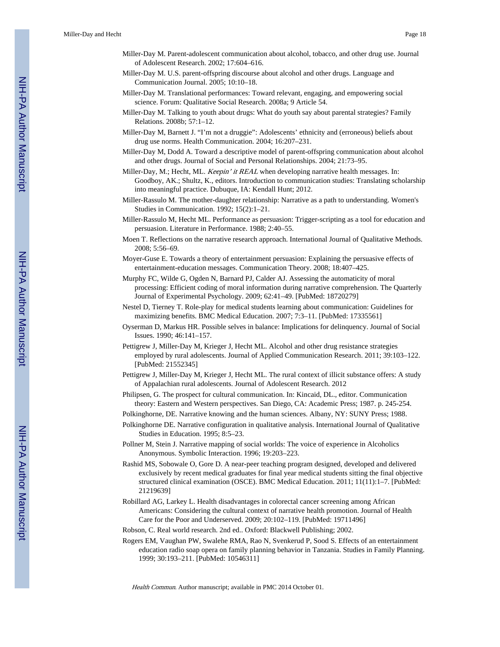- Miller-Day M. Parent-adolescent communication about alcohol, tobacco, and other drug use. Journal of Adolescent Research. 2002; 17:604–616.
- Miller-Day M. U.S. parent-offspring discourse about alcohol and other drugs. Language and Communication Journal. 2005; 10:10–18.
- Miller-Day M. Translational performances: Toward relevant, engaging, and empowering social science. Forum: Qualitative Social Research. 2008a; 9 Article 54.
- Miller-Day M. Talking to youth about drugs: What do youth say about parental strategies? Family Relations. 2008b; 57:1–12.
- Miller-Day M, Barnett J. "I'm not a druggie": Adolescents' ethnicity and (erroneous) beliefs about drug use norms. Health Communication. 2004; 16:207–231.
- Miller-Day M, Dodd A. Toward a descriptive model of parent-offspring communication about alcohol and other drugs. Journal of Social and Personal Relationships. 2004; 21:73–95.
- Miller-Day, M.; Hecht, ML. *Keepin' it REAL* when developing narrative health messages. In: Goodboy, AK.; Shultz, K., editors. Introduction to communication studies: Translating scholarship into meaningful practice. Dubuque, IA: Kendall Hunt; 2012.
- Miller-Rassulo M. The mother-daughter relationship: Narrative as a path to understanding. Women's Studies in Communication. 1992; 15(2):1–21.
- Miller-Rassulo M, Hecht ML. Performance as persuasion: Trigger-scripting as a tool for education and persuasion. Literature in Performance. 1988; 2:40–55.
- Moen T. Reflections on the narrative research approach. International Journal of Qualitative Methods. 2008; 5:56–69.
- Moyer-Guse E. Towards a theory of entertainment persuasion: Explaining the persuasive effects of entertainment-education messages. Communication Theory. 2008; 18:407–425.
- Murphy FC, Wilde G, Ogden N, Barnard PJ, Calder AJ. Assessing the automaticity of moral processing: Efficient coding of moral information during narrative comprehension. The Quarterly Journal of Experimental Psychology. 2009; 62:41–49. [PubMed: 18720279]
- Nestel D, Tierney T. Role-play for medical students learning about communication: Guidelines for maximizing benefits. BMC Medical Education. 2007; 7:3–11. [PubMed: 17335561]
- Oyserman D, Markus HR. Possible selves in balance: Implications for delinquency. Journal of Social Issues. 1990; 46:141–157.
- Pettigrew J, Miller-Day M, Krieger J, Hecht ML. Alcohol and other drug resistance strategies employed by rural adolescents. Journal of Applied Communication Research. 2011; 39:103–122. [PubMed: 21552345]
- Pettigrew J, Miller-Day M, Krieger J, Hecht ML. The rural context of illicit substance offers: A study of Appalachian rural adolescents. Journal of Adolescent Research. 2012
- Philipsen, G. The prospect for cultural communication. In: Kincaid, DL., editor. Communication theory: Eastern and Western perspectives. San Diego, CA: Academic Press; 1987. p. 245-254.
- Polkinghorne, DE. Narrative knowing and the human sciences. Albany, NY: SUNY Press; 1988.
- Polkinghorne DE. Narrative configuration in qualitative analysis. International Journal of Qualitative Studies in Education. 1995; 8:5–23.
- Pollner M, Stein J. Narrative mapping of social worlds: The voice of experience in Alcoholics Anonymous. Symbolic Interaction. 1996; 19:203–223.
- Rashid MS, Sobowale O, Gore D. A near-peer teaching program designed, developed and delivered exclusively by recent medical graduates for final year medical students sitting the final objective structured clinical examination (OSCE). BMC Medical Education. 2011; 11(11):1–7. [PubMed: 21219639]
- Robillard AG, Larkey L. Health disadvantages in colorectal cancer screening among African Americans: Considering the cultural context of narrative health promotion. Journal of Health Care for the Poor and Underserved. 2009; 20:102–119. [PubMed: 19711496]
- Robson, C. Real world research. 2nd ed.. Oxford: Blackwell Publishing; 2002.
- Rogers EM, Vaughan PW, Swalehe RMA, Rao N, Svenkerud P, Sood S. Effects of an entertainment education radio soap opera on family planning behavior in Tanzania. Studies in Family Planning. 1999; 30:193–211. [PubMed: 10546311]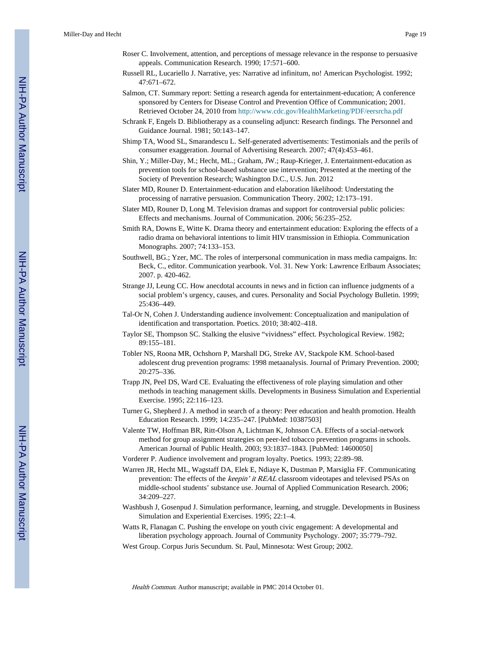- Roser C. Involvement, attention, and perceptions of message relevance in the response to persuasive appeals. Communication Research. 1990; 17:571–600.
- Russell RL, Lucariello J. Narrative, yes: Narrative ad infinitum, no! American Psychologist. 1992; 47:671–672.
- Salmon, CT. Summary report: Setting a research agenda for entertainment-education; A conference sponsored by Centers for Disease Control and Prevention Office of Communication; 2001. Retrieved October 24, 2010 from <http://www.cdc.gov/HealthMarketing/PDF/eersrcha.pdf>
- Schrank F, Engels D. Bibliotherapy as a counseling adjunct: Research findings. The Personnel and Guidance Journal. 1981; 50:143–147.
- Shimp TA, Wood SL, Smarandescu L. Self-generated advertisements: Testimonials and the perils of consumer exaggeration. Journal of Advertising Research. 2007; 47(4):453–461.
- Shin, Y.; Miller-Day, M.; Hecht, ML.; Graham, JW.; Raup-Krieger, J. Entertainment-education as prevention tools for school-based substance use intervention; Presented at the meeting of the Society of Prevention Research; Washington D.C., U.S. Jun. 2012
- Slater MD, Rouner D. Entertainment-education and elaboration likelihood: Understating the processing of narrative persuasion. Communication Theory. 2002; 12:173–191.
- Slater MD, Rouner D, Long M. Television dramas and support for controversial public policies: Effects and mechanisms. Journal of Communication. 2006; 56:235–252.
- Smith RA, Downs E, Witte K. Drama theory and entertainment education: Exploring the effects of a radio drama on behavioral intentions to limit HIV transmission in Ethiopia. Communication Monographs. 2007; 74:133–153.
- Southwell, BG.; Yzer, MC. The roles of interpersonal communication in mass media campaigns. In: Beck, C., editor. Communication yearbook. Vol. 31. New York: Lawrence Erlbaum Associates; 2007. p. 420-462.
- Strange JJ, Leung CC. How anecdotal accounts in news and in fiction can influence judgments of a social problem's urgency, causes, and cures. Personality and Social Psychology Bulletin. 1999; 25:436–449.
- Tal-Or N, Cohen J. Understanding audience involvement: Conceptualization and manipulation of identification and transportation. Poetics. 2010; 38:402–418.
- Taylor SE, Thompson SC. Stalking the elusive "vividness" effect. Psychological Review. 1982; 89:155–181.
- Tobler NS, Roona MR, Ochshorn P, Marshall DG, Streke AV, Stackpole KM. School-based adolescent drug prevention programs: 1998 metaanalysis. Journal of Primary Prevention. 2000; 20:275–336.
- Trapp JN, Peel DS, Ward CE. Evaluating the effectiveness of role playing simulation and other methods in teaching management skills. Developments in Business Simulation and Experiential Exercise. 1995; 22:116–123.
- Turner G, Shepherd J. A method in search of a theory: Peer education and health promotion. Health Education Research. 1999; 14:235–247. [PubMed: 10387503]
- Valente TW, Hoffman BR, Ritt-Olson A, Lichtman K, Johnson CA. Effects of a social-network method for group assignment strategies on peer-led tobacco prevention programs in schools. American Journal of Public Health. 2003; 93:1837–1843. [PubMed: 14600050]
- Vorderer P. Audience involvement and program loyalty. Poetics. 1993; 22:89–98.
- Warren JR, Hecht ML, Wagstaff DA, Elek E, Ndiaye K, Dustman P, Marsiglia FF. Communicating prevention: The effects of the *keepin' it REAL* classroom videotapes and televised PSAs on middle-school students' substance use. Journal of Applied Communication Research. 2006; 34:209–227.
- Washbush J, Gosenpud J. Simulation performance, learning, and struggle. Developments in Business Simulation and Experiential Exercises. 1995; 22:1–4.
- Watts R, Flanagan C. Pushing the envelope on youth civic engagement: A developmental and liberation psychology approach. Journal of Community Psychology. 2007; 35:779–792.
- West Group. Corpus Juris Secundum. St. Paul, Minnesota: West Group; 2002.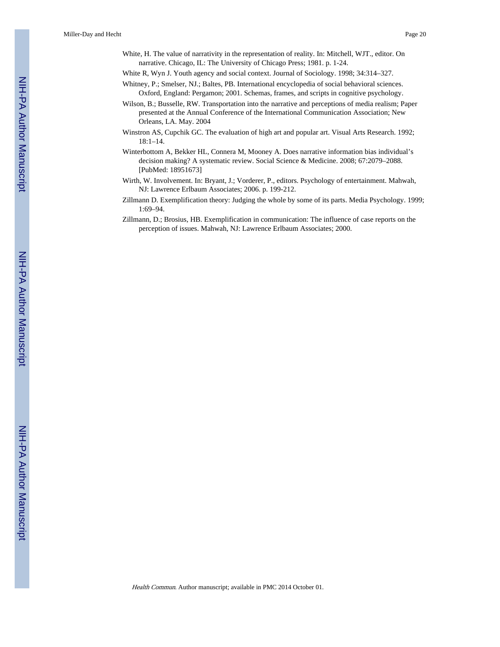- White, H. The value of narrativity in the representation of reality. In: Mitchell, WJT., editor. On narrative. Chicago, IL: The University of Chicago Press; 1981. p. 1-24.
- White R, Wyn J. Youth agency and social context. Journal of Sociology. 1998; 34:314–327.
- Whitney, P.; Smelser, NJ.; Baltes, PB. International encyclopedia of social behavioral sciences. Oxford, England: Pergamon; 2001. Schemas, frames, and scripts in cognitive psychology.
- Wilson, B.; Busselle, RW. Transportation into the narrative and perceptions of media realism; Paper presented at the Annual Conference of the International Communication Association; New Orleans, LA. May. 2004
- Winstron AS, Cupchik GC. The evaluation of high art and popular art. Visual Arts Research. 1992; 18:1–14.
- Winterbottom A, Bekker HL, Connera M, Mooney A. Does narrative information bias individual's decision making? A systematic review. Social Science & Medicine. 2008; 67:2079–2088. [PubMed: 18951673]
- Wirth, W. Involvement. In: Bryant, J.; Vorderer, P., editors. Psychology of entertainment. Mahwah, NJ: Lawrence Erlbaum Associates; 2006. p. 199-212.
- Zillmann D. Exemplification theory: Judging the whole by some of its parts. Media Psychology. 1999; 1:69–94.
- Zillmann, D.; Brosius, HB. Exemplification in communication: The influence of case reports on the perception of issues. Mahwah, NJ: Lawrence Erlbaum Associates; 2000.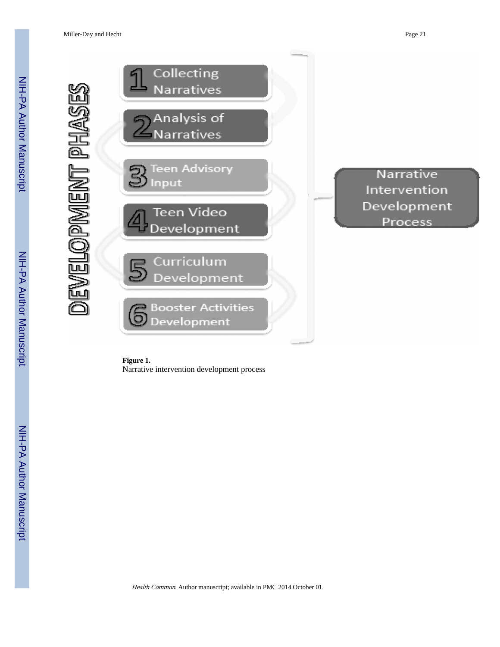

**Figure 1.** Narrative intervention development process